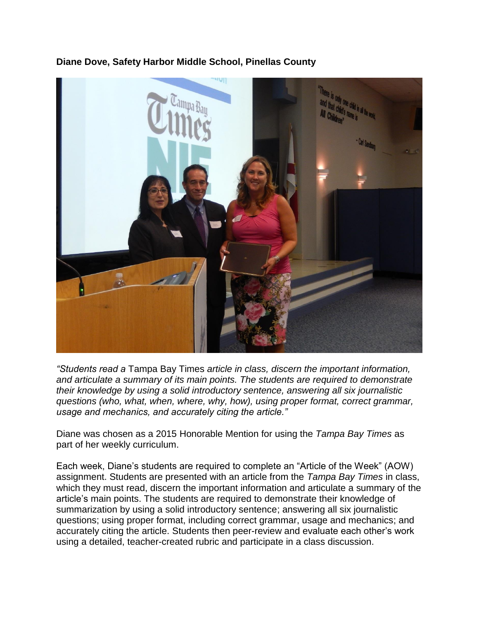

## **Diane Dove, Safety Harbor Middle School, Pinellas County**

*"Students read a* Tampa Bay Times *article in class, discern the important information, and articulate a summary of its main points. The students are required to demonstrate their knowledge by using a solid introductory sentence, answering all six journalistic questions (who, what, when, where, why, how), using proper format, correct grammar, usage and mechanics, and accurately citing the article."*

Diane was chosen as a 2015 Honorable Mention for using the *Tampa Bay Times* as part of her weekly curriculum.

Each week, Diane's students are required to complete an "Article of the Week" (AOW) assignment. Students are presented with an article from the *Tampa Bay Times* in class, which they must read, discern the important information and articulate a summary of the article's main points. The students are required to demonstrate their knowledge of summarization by using a solid introductory sentence; answering all six journalistic questions; using proper format, including correct grammar, usage and mechanics; and accurately citing the article. Students then peer-review and evaluate each other's work using a detailed, teacher-created rubric and participate in a class discussion.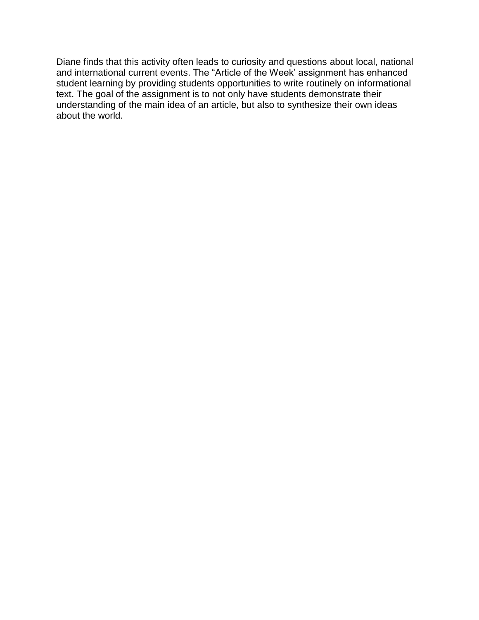Diane finds that this activity often leads to curiosity and questions about local, national and international current events. The "Article of the Week' assignment has enhanced student learning by providing students opportunities to write routinely on informational text. The goal of the assignment is to not only have students demonstrate their understanding of the main idea of an article, but also to synthesize their own ideas about the world.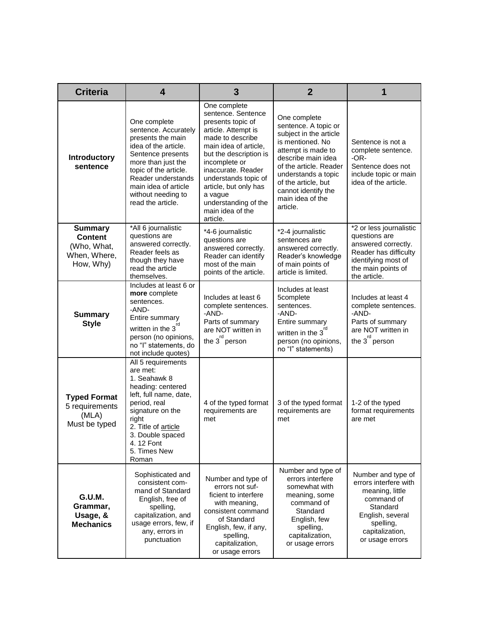| <b>Criteria</b>                                                              | 4                                                                                                                                                                                                                                              | 3                                                                                                                                                                                                                                                                                                                | $\overline{2}$                                                                                                                                                                                                                                                | 1                                                                                                                                                               |
|------------------------------------------------------------------------------|------------------------------------------------------------------------------------------------------------------------------------------------------------------------------------------------------------------------------------------------|------------------------------------------------------------------------------------------------------------------------------------------------------------------------------------------------------------------------------------------------------------------------------------------------------------------|---------------------------------------------------------------------------------------------------------------------------------------------------------------------------------------------------------------------------------------------------------------|-----------------------------------------------------------------------------------------------------------------------------------------------------------------|
| Introductory<br>sentence                                                     | One complete<br>sentence. Accurately<br>presents the main<br>idea of the article.<br>Sentence presents<br>more than just the<br>topic of the article.<br>Reader understands<br>main idea of article<br>without needing to<br>read the article. | One complete<br>sentence. Sentence<br>presents topic of<br>article. Attempt is<br>made to describe<br>main idea of article,<br>but the description is<br>incomplete or<br>inaccurate. Reader<br>understands topic of<br>article, but only has<br>a vague<br>understanding of the<br>main idea of the<br>article. | One complete<br>sentence. A topic or<br>subject in the article<br>is mentioned. No<br>attempt is made to<br>describe main idea<br>of the article. Reader<br>understands a topic<br>of the article, but<br>cannot identify the<br>main idea of the<br>article. | Sentence is not a<br>complete sentence.<br>$-OR-$<br>Sentence does not<br>include topic or main<br>idea of the article.                                         |
| <b>Summary</b><br><b>Content</b><br>(Who, What,<br>When, Where,<br>How, Why) | *All 6 journalistic<br>questions are<br>answered correctly.<br>Reader feels as<br>though they have<br>read the article<br>themselves.                                                                                                          | *4-6 journalistic<br>questions are<br>answered correctly.<br>Reader can identify<br>most of the main<br>points of the article.                                                                                                                                                                                   | *2-4 journalistic<br>sentences are<br>answered correctly.<br>Reader's knowledge<br>of main points of<br>article is limited.                                                                                                                                   | *2 or less journalistic<br>questions are<br>answered correctly.<br>Reader has difficulty<br>identifying most of<br>the main points of<br>the article.           |
| <b>Summary</b><br><b>Style</b>                                               | Includes at least 6 or<br>more complete<br>sentences.<br>-AND-<br>Entire summary<br>written in the 3<br>person (no opinions,<br>no "l" statements, do<br>not include quotes)                                                                   | Includes at least 6<br>complete sentences.<br>-AND-<br>Parts of summary<br>are NOT written in<br>the 3 <sup>rd</sup> person                                                                                                                                                                                      | Includes at least<br>5complete<br>sentences.<br>-AND-<br>Entire summary<br>written in the $3^{\text{rd}}$<br>person (no opinions,<br>no "I" statements)                                                                                                       | Includes at least 4<br>complete sentences.<br>-AND-<br>Parts of summary<br>are NOT written in<br>the 3 <sup>rd</sup> person                                     |
| <b>Typed Format</b><br>5 requirements<br>(MLA)<br>Must be typed              | All 5 requirements<br>are met:<br>1. Seahawk 8<br>heading: centered<br>left, full name, date,<br>period, real<br>signature on the<br>right<br>2. Title of article<br>3. Double spaced<br>4.12 Font<br>5. Times New<br>Roman                    | 4 of the typed format<br>requirements are<br>met                                                                                                                                                                                                                                                                 | 3 of the typed format<br>requirements are<br>met                                                                                                                                                                                                              | 1-2 of the typed<br>format requirements<br>are met                                                                                                              |
| G.U.M.<br>Grammar,<br>Usage, &<br><b>Mechanics</b>                           | Sophisticated and<br>consistent com-<br>mand of Standard<br>English, free of<br>spelling,<br>capitalization, and<br>usage errors, few, if<br>any, errors in<br>punctuation                                                                     | Number and type of<br>errors not suf-<br>ficient to interfere<br>with meaning,<br>consistent command<br>of Standard<br>English, few, if any,<br>spelling,<br>capitalization,<br>or usage errors                                                                                                                  | Number and type of<br>errors interfere<br>somewhat with<br>meaning, some<br>command of<br>Standard<br>English, few<br>spelling,<br>capitalization,<br>or usage errors                                                                                         | Number and type of<br>errors interfere with<br>meaning, little<br>command of<br>Standard<br>English, several<br>spelling,<br>capitalization,<br>or usage errors |